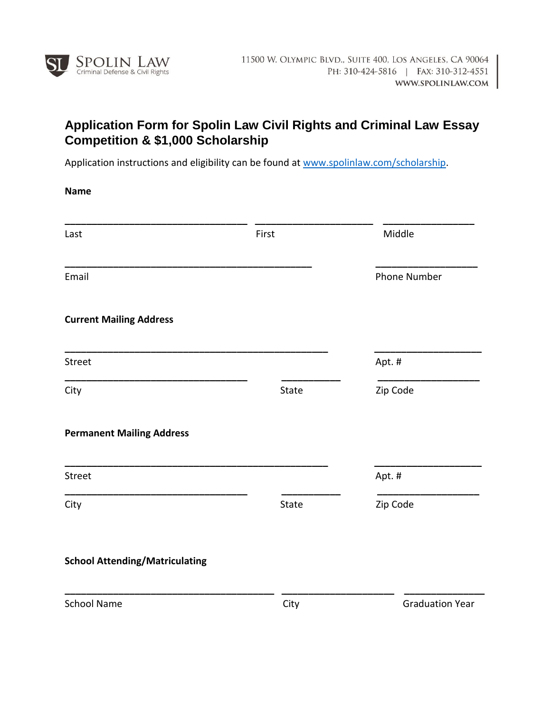

## **Application Form for Spolin Law Civil Rights and Criminal Law Essay Competition & \$1,000 Scholarship**

Application instructions and eligibility can be found at [www.spolinlaw.com/scholarship.](http://www.spolinlaw.com/scholarship)

**Name**

| Last                                  | First | Middle                 |  |
|---------------------------------------|-------|------------------------|--|
| Email                                 |       | <b>Phone Number</b>    |  |
| <b>Current Mailing Address</b>        |       |                        |  |
| Street                                |       | Apt.#                  |  |
| City                                  | State | Zip Code               |  |
| <b>Permanent Mailing Address</b>      |       |                        |  |
| Street                                |       | Apt.#                  |  |
| City                                  | State | Zip Code               |  |
| <b>School Attending/Matriculating</b> |       |                        |  |
| <b>School Name</b>                    | City  | <b>Graduation Year</b> |  |